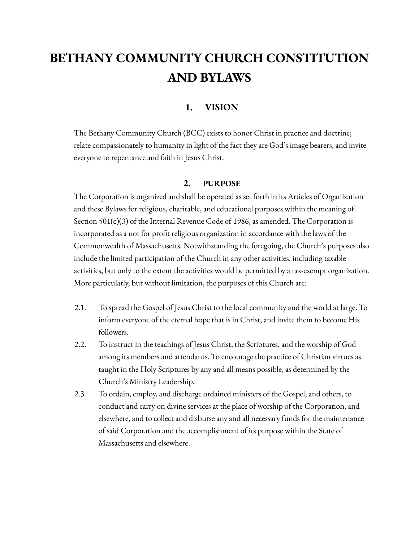# **BETHANY COMMUNITY CHURCH CONSTITUTION AND BYLAWS**

# **1. VISION**

The Bethany Community Church (BCC) exists to honor Christ in practice and doctrine; relate compassionately to humanity in light of the fact they are God's image bearers, and invite everyone to repentance and faith in Jesus Christ.

# **2. PURPOSE**

The Corporation is organized and shall be operated as set forth in its Articles of Organization and these Bylaws for religious, charitable, and educational purposes within the meaning of Section 501(c)(3) of the Internal Revenue Code of 1986, as amended. The Corporation is incorporated as a not for profit religious organization in accordance with the laws of the Commonwealth of Massachusetts. Notwithstanding the foregoing, the Church's purposes also include the limited participation of the Church in any other activities, including taxable activities, but only to the extent the activities would be permitted by a tax-exempt organization. More particularly, but without limitation, the purposes of this Church are:

- 2.1. To spread the Gospel of Jesus Christ to the local community and the world at large. To inform everyone of the eternal hope that is in Christ, and invite them to become His followers.
- 2.2. To instruct in the teachings of Jesus Christ, the Scriptures, and the worship of God among its members and attendants. To encourage the practice of Christian virtues as taught in the Holy Scriptures by any and all means possible, as determined by the Church's Ministry Leadership.
- 2.3. To ordain, employ, and discharge ordained ministers of the Gospel, and others, to conduct and carry on divine services at the place of worship of the Corporation, and elsewhere, and to collect and disburse any and all necessary funds for the maintenance of said Corporation and the accomplishment of its purpose within the State of Massachusetts and elsewhere.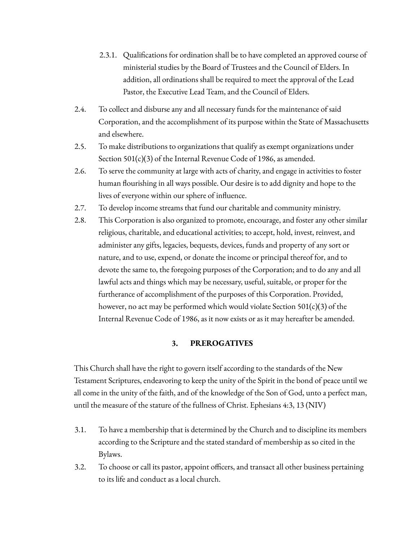- 2.3.1. Qualifications for ordination shall be to have completed an approved course of ministerial studies by the Board of Trustees and the Council of Elders. In addition, all ordinations shall be required to meet the approval of the Lead Pastor, the Executive Lead Team, and the Council of Elders.
- 2.4. To collect and disburse any and all necessary funds for the maintenance of said Corporation, and the accomplishment of its purpose within the State of Massachusetts and elsewhere.
- 2.5. To make distributions to organizations that qualify as exempt organizations under Section 501(c)(3) of the Internal Revenue Code of 1986, as amended.
- 2.6. To serve the community at large with acts of charity, and engage in activities to foster human flourishing in all ways possible. Our desire is to add dignity and hope to the lives of everyone within our sphere of influence.
- 2.7. To develop income streams that fund our charitable and community ministry.
- 2.8. This Corporation is also organized to promote, encourage, and foster any other similar religious, charitable, and educational activities; to accept, hold, invest, reinvest, and administer any gifts, legacies, bequests, devices, funds and property of any sort or nature, and to use, expend, or donate the income or principal thereof for, and to devote the same to, the foregoing purposes of the Corporation; and to do any and all lawful acts and things which may be necessary, useful, suitable, or proper for the furtherance of accomplishment of the purposes of this Corporation. Provided, however, no act may be performed which would violate Section 501(c)(3) of the Internal Revenue Code of 1986, as it now exists or as it may hereafter be amended.

# **3. PREROGATIVES**

This Church shall have the right to govern itself according to the standards of the New Testament Scriptures, endeavoring to keep the unity of the Spirit in the bond of peace until we all come in the unity of the faith, and of the knowledge of the Son of God, unto a perfect man, until the measure of the stature of the fullness of Christ. Ephesians 4:3, 13 (NIV)

- 3.1. To have a membership that is determined by the Church and to discipline its members according to the Scripture and the stated standard of membership as so cited in the Bylaws.
- 3.2. To choose or call its pastor, appoint officers, and transact all other business pertaining to its life and conduct as a local church.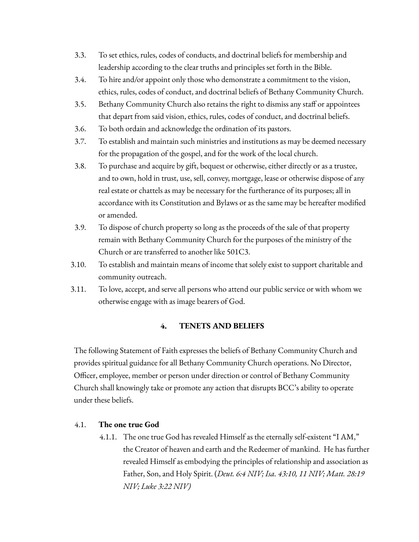- 3.3. To set ethics, rules, codes of conducts, and doctrinal beliefs for membership and leadership according to the clear truths and principles set forth in the Bible.
- 3.4. To hire and/or appoint only those who demonstrate a commitment to the vision, ethics, rules, codes of conduct, and doctrinal beliefs of Bethany Community Church.
- 3.5. Bethany Community Church also retains the right to dismiss any staff or appointees that depart from said vision, ethics, rules, codes of conduct, and doctrinal beliefs.
- 3.6. To both ordain and acknowledge the ordination of its pastors.
- 3.7. To establish and maintain such ministries and institutions as may be deemed necessary for the propagation of the gospel, and for the work of the local church.
- 3.8. To purchase and acquire by gift, bequest or otherwise, either directly or as a trustee, and to own, hold in trust, use, sell, convey, mortgage, lease or otherwise dispose of any real estate or chattels as may be necessary for the furtherance of its purposes; all in accordance with its Constitution and Bylaws or as the same may be hereafter modified or amended.
- 3.9. To dispose of church property so long as the proceeds of the sale of that property remain with Bethany Community Church for the purposes of the ministry of the Church or are transferred to another like 501C3.
- 3.10. To establish and maintain means of income that solely exist to support charitable and community outreach.
- 3.11. To love, accept, and serve all persons who attend our public service or with whom we otherwise engage with as image bearers of God.

# **4. TENETS AND BELIEFS**

The following Statement of Faith expresses the beliefs of Bethany Community Church and provides spiritual guidance for all Bethany Community Church operations. No Director, Officer, employee, member or person under direction or control of Bethany Community Church shall knowingly take or promote any action that disrupts BCC's ability to operate under these beliefs.

# 4.1. **The one true God**

4.1.1. The one true God has revealed Himself as the eternally self-existent "I AM," the Creator of heaven and earth and the Redeemer of mankind. He has further revealed Himself as embodying the principles of relationship and association as Father, Son, and Holy Spirit. (*Deut. 6:4 NIV; Isa. 43:10, 11 NIV; Matt. 28:19 NIV; Luke 3:22 NIV)*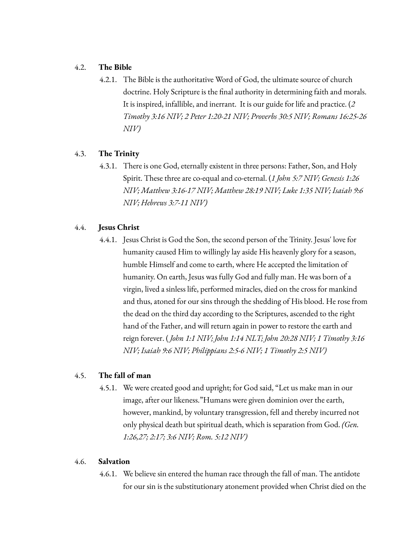# 4.2. **The Bible**

4.2.1. The Bible is the authoritative Word of God, the ultimate source of church doctrine. Holy Scripture is the final authority in determining faith and morals. It is inspired, infallible, and inerrant. It is our guide for life and practice. (*2 Timothy 3:16 NIV; 2 Peter 1:20-21 NIV; Proverbs 30:5 NIV; Romans 16:25-26 NIV)*

# 4.3. **The Trinity**

4.3.1. There is one God, eternally existent in three persons: Father, Son, and Holy Spirit. These three are co-equal and co-eternal. (*1 John 5:7 NIV; Genesis 1:26 NIV; Matthew 3:16-17 NIV; Matthew 28:19 NIV; Luke 1:35 NIV; Isaiah 9:6 NIV; Hebrews 3:7-11 NIV)*

# 4.4. **Jesus Christ**

4.4.1. Jesus Christ is God the Son, the second person of the Trinity. Jesus' love for humanity caused Him to willingly lay aside His heavenly glory for a season, humble Himself and come to earth, where He accepted the limitation of humanity. On earth, Jesus was fully God and fully man. He was born of a virgin, lived a sinless life, performed miracles, died on the cross for mankind and thus, atoned for our sins through the shedding of His blood. He rose from the dead on the third day according to the Scriptures, ascended to the right hand of the Father, and will return again in power to restore the earth and reign forever. ( *John 1:1 NIV; John 1:14 NLT; John 20:28 NIV; 1 Timothy 3:16 NIV; Isaiah 9:6 NIV; Philippians 2:5-6 NIV; 1 Timothy 2:5 NIV)*

# 4.5. **The fall of man**

4.5.1. We were created good and upright; for God said, "Let us make man in our image, after our likeness."Humans were given dominion over the earth, however, mankind, by voluntary transgression, fell and thereby incurred not only physical death but spiritual death, which is separation from God. *(Gen. 1:26,27; 2:17; 3:6 NIV; Rom. 5:12 NIV)*

# 4.6. **Salvation**

4.6.1. We believe sin entered the human race through the fall of man. The antidote for our sin is the substitutionary atonement provided when Christ died on the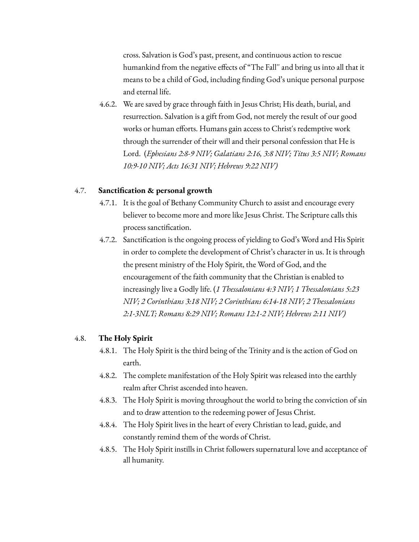cross. Salvation is God's past, present, and continuous action to rescue humankind from the negative effects of "The Fall'' and bring us into all that it means to be a child of God, including finding God's unique personal purpose and eternal life.

4.6.2. We are saved by grace through faith in Jesus Christ; His death, burial, and resurrection. Salvation is a gift from God, not merely the result of our good works or human efforts. Humans gain access to Christ's redemptive work through the surrender of their will and their personal confession that He is Lord. (*Ephesians 2:8-9 NIV; Galatians 2:16, 3:8 NIV; Titus 3:5 NIV; Romans 10:9-10 NIV; Acts 16:31 NIV; Hebrews 9:22 NIV)*

#### 4.7. **Sanctification & personal growth**

- 4.7.1. It is the goal of Bethany Community Church to assist and encourage every believer to become more and more like Jesus Christ. The Scripture calls this process sanctification.
- 4.7.2. Sanctification is the ongoing process of yielding to God's Word and His Spirit in order to complete the development of Christ's character in us. It is through the present ministry of the Holy Spirit, the Word of God, and the encouragement of the faith community that the Christian is enabled to increasingly live a Godly life. (*1 Thessalonians 4:3 NIV; 1 Thessalonians 5:23 NIV; 2 Corinthians 3:18 NIV; 2 Corinthians 6:14-18 NIV; 2 Thessalonians 2:1-3NLT; Romans 8:29 NIV; Romans 12:1-2 NIV; Hebrews 2:11 NIV)*

### 4.8. **The Holy Spirit**

- 4.8.1. The Holy Spirit is the third being of the Trinity and is the action of God on earth.
- 4.8.2. The complete manifestation of the Holy Spirit was released into the earthly realm after Christ ascended into heaven.
- 4.8.3. The Holy Spirit is moving throughout the world to bring the conviction of sin and to draw attention to the redeeming power of Jesus Christ.
- 4.8.4. The Holy Spirit lives in the heart of every Christian to lead, guide, and constantly remind them of the words of Christ.
- 4.8.5. The Holy Spirit instills in Christ followers supernatural love and acceptance of all humanity.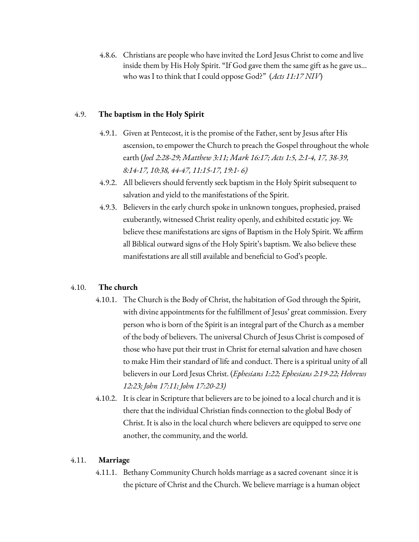4.8.6. Christians are people who have invited the Lord Jesus Christ to come and live inside them by His Holy Spirit. "If God gave them the same gift as he gave us... who was I to think that I could oppose God?" (*Acts 11:17 NIV*)

# 4.9. **The baptism in the Holy Spirit**

- 4.9.1. Given at Pentecost, it is the promise of the Father, sent by Jesus after His ascension, to empower the Church to preach the Gospel throughout the whole earth (*Joel 2:28-29; Matthew 3:11; Mark 16:17; Acts 1:5, 2:1-4, 17, 38-39, 8:14-17, 10:38, 44-47, 11:15-17, 19:1- 6)*
- 4.9.2. All believers should fervently seek baptism in the Holy Spirit subsequent to salvation and yield to the manifestations of the Spirit.
- 4.9.3. Believers in the early church spoke in unknown tongues, prophesied, praised exuberantly, witnessed Christ reality openly, and exhibited ecstatic joy. We believe these manifestations are signs of Baptism in the Holy Spirit. We affirm all Biblical outward signs of the Holy Spirit's baptism. We also believe these manifestations are all still available and beneficial to God's people.

# 4.10. **The church**

- 4.10.1. The Church is the Body of Christ, the habitation of God through the Spirit, with divine appointments for the fulfillment of Jesus' great commission. Every person who is born of the Spirit is an integral part of the Church as a member of the body of believers. The universal Church of Jesus Christ is composed of those who have put their trust in Christ for eternal salvation and have chosen to make Him their standard of life and conduct. There is a spiritual unity of all believers in our Lord Jesus Christ. (*Ephesians 1:22; Ephesians 2:19-22; Hebrews 12:23; John 17:11; John 17:20-23)*
- 4.10.2. It is clear in Scripture that believers are to be joined to a local church and it is there that the individual Christian finds connection to the global Body of Christ. It is also in the local church where believers are equipped to serve one another, the community, and the world.

# 4.11. **Marriage**

4.11.1. Bethany Community Church holds marriage as a sacred covenant since it is the picture of Christ and the Church. We believe marriage is a human object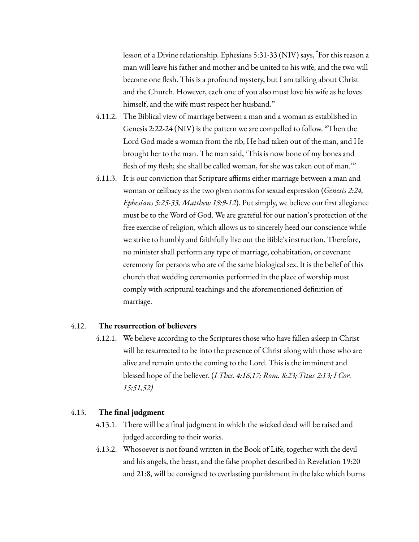lesson of a Divine relationship. Ephesians 5:31-33 (NIV) says, "For this reason a man will leave his father and mother and be united to his wife, and the two will become one flesh. This is a profound mystery, but I am talking about Christ and the Church. However, each one of you also must love his wife as he loves himself, and the wife must respect her husband."

- 4.11.2. The Biblical view of marriage between a man and a woman as established in Genesis 2:22-24 (NIV) is the pattern we are compelled to follow. "Then the Lord God made a woman from the rib, He had taken out of the man, and He brought her to the man. The man said, 'This is now bone of my bones and flesh of my flesh; she shall be called woman, for she was taken out of man.'"
- 4.11.3. It is our conviction that Scripture affirms either marriage between a man and woman or celibacy as the two given norms for sexual expression (*Genesis 2:24, Ephesians 5:25-33, Matthew 19:9-12*). Put simply, we believe our first allegiance must be to the Word of God. We are grateful for our nation's protection of the free exercise of religion, which allows us to sincerely heed our conscience while we strive to humbly and faithfully live out the Bible's instruction. Therefore, no minister shall perform any type of marriage, cohabitation, or covenant ceremony for persons who are of the same biological sex. It is the belief of this church that wedding ceremonies performed in the place of worship must comply with scriptural teachings and the aforementioned definition of marriage.

#### 4.12. **The resurrection of believers**

4.12.1. We believe according to the Scriptures those who have fallen asleep in Christ will be resurrected to be into the presence of Christ along with those who are alive and remain unto the coming to the Lord. This is the imminent and blessed hope of the believer. (*I Thes. 4:16,17; Rom. 8:23; Titus 2:13; I Cor. 15:51,52)*

#### 4.13. **The final judgment**

- 4.13.1. There will be a final judgment in which the wicked dead will be raised and judged according to their works.
- 4.13.2. Whosoever is not found written in the Book of Life, together with the devil and his angels, the beast, and the false prophet described in Revelation 19:20 and 21:8, will be consigned to everlasting punishment in the lake which burns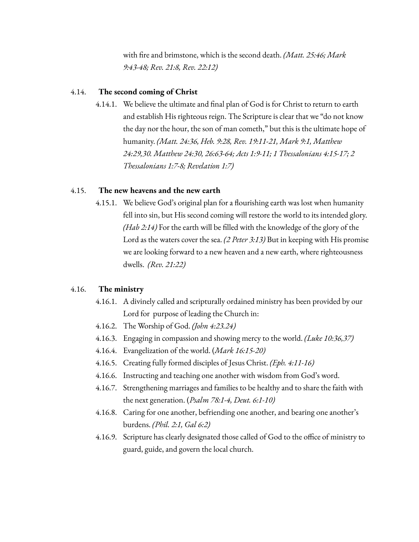with fire and brimstone, which is the second death. *(Matt. 25:46; Mark 9:43-48; Rev. 21:8, Rev. 22:12)*

#### 4.14. **The second coming of Christ**

4.14.1. We believe the ultimate and final plan of God is for Christ to return to earth and establish His righteous reign. The Scripture is clear that we "do not know the day nor the hour, the son of man cometh," but this is the ultimate hope of humanity. *(Matt. 24:36, Heb. 9:28, Rev. 19:11-21, Mark 9:1, Matthew 24:29,30. Matthew 24:30, 26:63-64; Acts 1:9-11; 1 Thessalonians 4:15-17; 2 Thessalonians 1:7-8; Revelation 1:7)*

### 4.15. **The new heavens and the new earth**

4.15.1. We believe God's original plan for a flourishing earth was lost when humanity fell into sin, but His second coming will restore the world to its intended glory. *(Hab 2:14)* For the earth will be filled with the knowledge of the glory of the Lord as the waters cover the sea. *(2 Peter 3:13)* But in keeping with His promise we are looking forward to a new heaven and a new earth, where righteousness dwells. *(Rev. 21:22)*

#### 4.16. **The ministry**

- 4.16.1. A divinely called and scripturally ordained ministry has been provided by our Lord for purpose of leading the Church in:
- 4.16.2. The Worship of God. *(John 4:23.24)*
- 4.16.3. Engaging in compassion and showing mercy to the world. *(Luke 10:36,37)*
- 4.16.4. Evangelization of the world. (*Mark 16:15-20)*
- 4.16.5. Creating fully formed disciples of Jesus Christ. *(Eph. 4:11-16)*
- 4.16.6. Instructing and teaching one another with wisdom from God's word.
- 4.16.7. Strengthening marriages and families to be healthy and to share the faith with the next generation. (*Psalm 78:1-4, Deut. 6:1-10)*
- 4.16.8. Caring for one another, befriending one another, and bearing one another's burdens. *(Phil. 2:1, Gal 6:2)*
- 4.16.9. Scripture has clearly designated those called of God to the office of ministry to guard, guide, and govern the local church.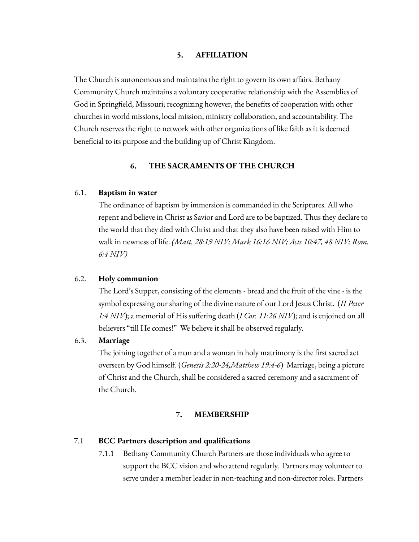### **5. AFFILIATION**

The Church is autonomous and maintains the right to govern its own affairs. Bethany Community Church maintains a voluntary cooperative relationship with the Assemblies of God in Springfield, Missouri; recognizing however, the benefits of cooperation with other churches in world missions, local mission, ministry collaboration, and accountability. The Church reserves the right to network with other organizations of like faith as it is deemed beneficial to its purpose and the building up of Christ Kingdom.

### **6. THE SACRAMENTS OF THE CHURCH**

### 6.1. **Baptism in water**

The ordinance of baptism by immersion is commanded in the Scriptures. All who repent and believe in Christ as Savior and Lord are to be baptized. Thus they declare to the world that they died with Christ and that they also have been raised with Him to walk in newness of life. *(Matt. 28:19 NIV; Mark 16:16 NIV; Acts 10:47, 48 NIV; Rom. 6:4 NIV)*

### 6.2. **Holy communion**

The Lord's Supper, consisting of the elements - bread and the fruit of the vine - is the symbol expressing our sharing of the divine nature of our Lord Jesus Christ. (*II Peter 1:4 NIV*); a memorial of His suffering death (*I Cor. 11:26 NIV*); and is enjoined on all believers "till He comes!" We believe it shall be observed regularly.

#### 6.3. **Marriage**

The joining together of a man and a woman in holy matrimony is the first sacred act overseen by God himself. (*Genesis 2:20-24,Matthew 19:4-6*) Marriage, being a picture of Christ and the Church, shall be considered a sacred ceremony and a sacrament of the Church.

#### **7. MEMBERSHIP**

#### 7.1 **BCC Partners description and qualifications**

7.1.1 Bethany Community Church Partners are those individuals who agree to support the BCC vision and who attend regularly. Partners may volunteer to serve under a member leader in non-teaching and non-director roles. Partners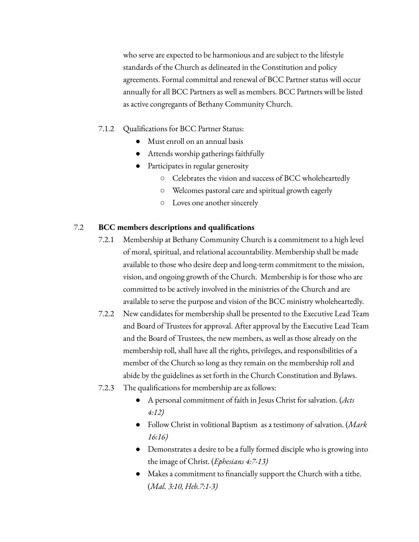who serve are expected to be harmonious and are subject to the lifestyle standards of the Church as delineated in the Constitution and policy agreements. Formal committal and renewal of BCC Partner status will occur annually for all BCC Partners as well as members. BCC Partners will be listed as active congregants of Bethany Community Church.

### 7.1.2 Qualifications for BCC Partner Status:

- Must enroll on an annual basis
- Attends worship gatherings faithfully
- Participates in regular generosity
	- Celebrates the vision and success of BCC wholeheartedly
	- Welcomes pastoral care and spiritual growth eagerly
	- Loves one another sincerely

#### 7.2 **BCC members descriptions and qualifications**

- 7.2.1 Membership at Bethany Community Church is a commitment to a high level of moral, spiritual, and relational accountability. Membership shall be made available to those who desire deep and long-term commitment to the mission, vision, and ongoing growth of the Church. Membership is for those who are committed to be actively involved in the ministries of the Church and are available to serve the purpose and vision of the BCC ministry wholeheartedly.
- 7.2.2 New candidates for membership shall be presented to the Executive Lead Team and Board of Trustees for approval. After approval by the Executive Lead Team and the Board of Trustees, the new members, as well as those already on the membership roll, shall have all the rights, privileges, and responsibilities of a member of the Church so long as they remain on the membership roll and abide by the guidelines as set forth in the Church Constitution and Bylaws.
- 7.2.3 The qualifications for membership are as follows:
	- A personal commitment of faith in Jesus Christ for salvation. (*Acts 4:12)*
	- Follow Christ in volitional Baptism as a testimony of salvation. (*Mark 16:16)*
	- Demonstrates a desire to be a fully formed disciple who is growing into the image of Christ. (*Ephesians 4:7-13)*
	- Makes a commitment to financially support the Church with a tithe. (*Mal. 3:10, Heb.7:1-3)*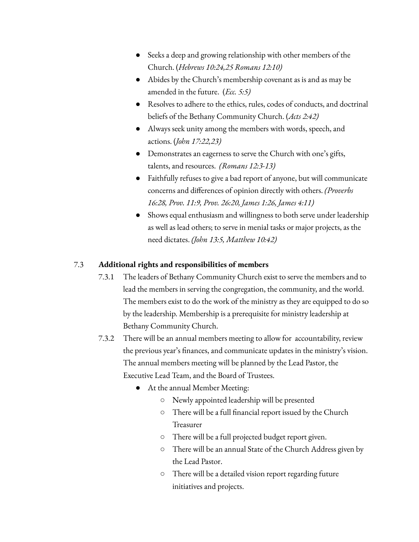- Seeks a deep and growing relationship with other members of the Church. (*Hebrews 10:24,25 Romans 12:10)*
- Abides by the Church's membership covenant as is and as may be amended in the future. (*Ecc. 5:5)*
- Resolves to adhere to the ethics, rules, codes of conducts, and doctrinal beliefs of the Bethany Community Church. (*Acts 2:42)*
- Always seek unity among the members with words, speech, and actions. (*John 17:22,23)*
- Demonstrates an eagerness to serve the Church with one's gifts, talents, and resources. *(Romans 12:3-13)*
- Faithfully refuses to give a bad report of anyone, but will communicate concerns and differences of opinion directly with others. *(Proverbs 16:28, Prov. 11:9, Prov. 26:20, James 1:26, James 4:11)*
- Shows equal enthusiasm and willingness to both serve under leadership as well as lead others; to serve in menial tasks or major projects, as the need dictates. *(John 13:5, Matthew 10:42)*

# 7.3 **Additional rights and responsibilities of members**

- 7.3.1 The leaders of Bethany Community Church exist to serve the members and to lead the members in serving the congregation, the community, and the world. The members exist to do the work of the ministry as they are equipped to do so by the leadership. Membership is a prerequisite for ministry leadership at Bethany Community Church.
- 7.3.2 There will be an annual members meeting to allow for accountability, review the previous year's finances, and communicate updates in the ministry's vision. The annual members meeting will be planned by the Lead Pastor, the Executive Lead Team, and the Board of Trustees.
	- At the annual Member Meeting:
		- Newly appointed leadership will be presented
		- There will be a full financial report issued by the Church Treasurer
		- There will be a full projected budget report given.
		- There will be an annual State of the Church Address given by the Lead Pastor.
		- There will be a detailed vision report regarding future initiatives and projects.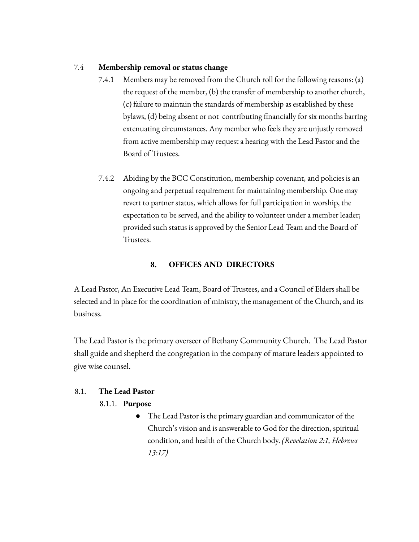# 7.4 **Membership removal or status change**

- 7.4.1 Members may be removed from the Church roll for the following reasons: (a) the request of the member, (b) the transfer of membership to another church, (c) failure to maintain the standards of membership as established by these bylaws, (d) being absent or not contributing financially for six months barring extenuating circumstances. Any member who feels they are unjustly removed from active membership may request a hearing with the Lead Pastor and the Board of Trustees.
- 7.4.2 Abiding by the BCC Constitution, membership covenant, and policies is an ongoing and perpetual requirement for maintaining membership. One may revert to partner status, which allows for full participation in worship, the expectation to be served, and the ability to volunteer under a member leader; provided such status is approved by the Senior Lead Team and the Board of Trustees.

# **8. OFFICES AND DIRECTORS**

A Lead Pastor, An Executive Lead Team, Board of Trustees, and a Council of Elders shall be selected and in place for the coordination of ministry, the management of the Church, and its business.

The Lead Pastor is the primary overseer of Bethany Community Church. The Lead Pastor shall guide and shepherd the congregation in the company of mature leaders appointed to give wise counsel.

# 8.1. **The Lead Pastor**

# 8.1.1. **Purpose**

● The Lead Pastor is the primary guardian and communicator of the Church's vision and is answerable to God for the direction, spiritual condition, and health of the Church body. *(Revelation 2:1, Hebrews 13:17)*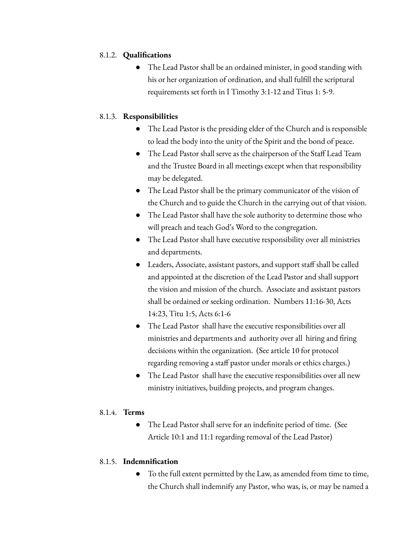# 8.1.2. **Qualifications**

The Lead Pastor shall be an ordained minister, in good standing with his or her organization of ordination, and shall fulfill the scriptural requirements set forth in I Timothy 3:1-12 and Titus 1: 5-9.

# 8.1.3. **Responsibilities**

- The Lead Pastor is the presiding elder of the Church and is responsible to lead the body into the unity of the Spirit and the bond of peace.
- The Lead Pastor shall serve as the chairperson of the Staff Lead Team and the Trustee Board in all meetings except when that responsibility may be delegated.
- The Lead Pastor shall be the primary communicator of the vision of the Church and to guide the Church in the carrying out of that vision.
- The Lead Pastor shall have the sole authority to determine those who will preach and teach God's Word to the congregation.
- The Lead Pastor shall have executive responsibility over all ministries and departments.
- Leaders, Associate, assistant pastors, and support staff shall be called and appointed at the discretion of the Lead Pastor and shall support the vision and mission of the church. Associate and assistant pastors shall be ordained or seeking ordination. Numbers 11:16-30, Acts 14:23, Titu 1:5, Acts 6:1-6
- The Lead Pastor shall have the executive responsibilities over all ministries and departments and authority over all hiring and firing decisions within the organization. (See article 10 for protocol regarding removing a staff pastor under morals or ethics charges.)
- The Lead Pastor shall have the executive responsibilities over all new ministry initiatives, building projects, and program changes.

# 8.1.4. **Terms**

● The Lead Pastor shall serve for an indefinite period of time. (See Article 10:1 and 11:1 regarding removal of the Lead Pastor)

# 8.1.5. **Indemnification**

● To the full extent permitted by the Law, as amended from time to time, the Church shall indemnify any Pastor, who was, is, or may be named a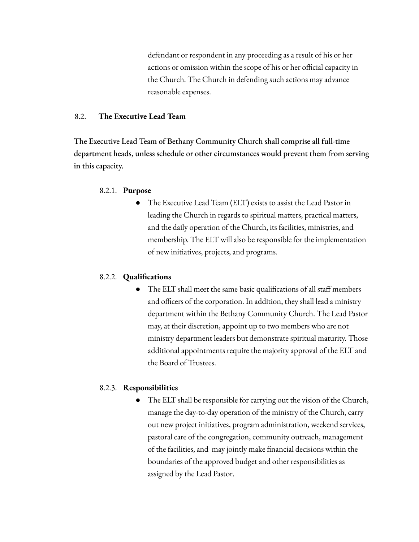defendant or respondent in any proceeding as a result of his or her actions or omission within the scope of his or her official capacity in the Church. The Church in defending such actions may advance reasonable expenses.

# 8.2. **The Executive Lead Team**

The Executive Lead Team of Bethany Community Church shall comprise all full-time department heads, unless schedule or other circumstances would prevent them from serving in this capacity.

# 8.2.1. **Purpose**

The Executive Lead Team (ELT) exists to assist the Lead Pastor in leading the Church in regards to spiritual matters, practical matters, and the daily operation of the Church, its facilities, ministries, and membership. The ELT will also be responsible for the implementation of new initiatives, projects, and programs.

# 8.2.2. **Qualifications**

● The ELT shall meet the same basic qualifications of all staff members and officers of the corporation. In addition, they shall lead a ministry department within the Bethany Community Church. The Lead Pastor may, at their discretion, appoint up to two members who are not ministry department leaders but demonstrate spiritual maturity. Those additional appointments require the majority approval of the ELT and the Board of Trustees.

# 8.2.3. **Responsibilities**

● The ELT shall be responsible for carrying out the vision of the Church, manage the day-to-day operation of the ministry of the Church, carry out new project initiatives, program administration, weekend services, pastoral care of the congregation, community outreach, management of the facilities, and may jointly make financial decisions within the boundaries of the approved budget and other responsibilities as assigned by the Lead Pastor.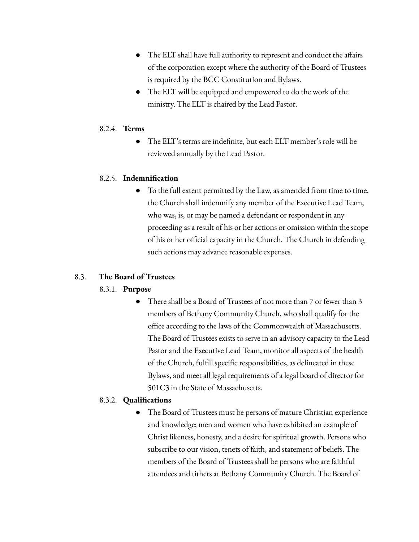- The ELT shall have full authority to represent and conduct the affairs of the corporation except where the authority of the Board of Trustees is required by the BCC Constitution and Bylaws.
- The ELT will be equipped and empowered to do the work of the ministry. The ELT is chaired by the Lead Pastor.

# 8.2.4. **Terms**

● The ELT's terms are indefinite, but each ELT member's role will be reviewed annually by the Lead Pastor.

# 8.2.5. **Indemnification**

To the full extent permitted by the Law, as amended from time to time, the Church shall indemnify any member of the Executive Lead Team, who was, is, or may be named a defendant or respondent in any proceeding as a result of his or her actions or omission within the scope of his or her official capacity in the Church. The Church in defending such actions may advance reasonable expenses.

# 8.3. **The Board of Trustees**

# 8.3.1. **Purpose**

There shall be a Board of Trustees of not more than 7 or fewer than 3 members of Bethany Community Church, who shall qualify for the office according to the laws of the Commonwealth of Massachusetts. The Board of Trustees exists to serve in an advisory capacity to the Lead Pastor and the Executive Lead Team, monitor all aspects of the health of the Church, fulfill specific responsibilities, as delineated in these Bylaws, and meet all legal requirements of a legal board of director for 501C3 in the State of Massachusetts.

# 8.3.2. **Qualifications**

The Board of Trustees must be persons of mature Christian experience and knowledge; men and women who have exhibited an example of Christ likeness, honesty, and a desire for spiritual growth. Persons who subscribe to our vision, tenets of faith, and statement of beliefs. The members of the Board of Trustees shall be persons who are faithful attendees and tithers at Bethany Community Church. The Board of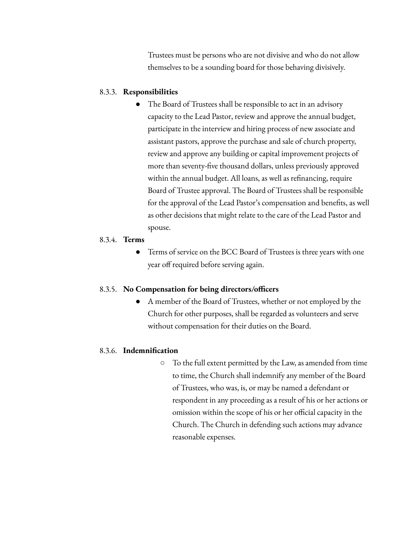Trustees must be persons who are not divisive and who do not allow themselves to be a sounding board for those behaving divisively.

### 8.3.3. **Responsibilities**

The Board of Trustees shall be responsible to act in an advisory capacity to the Lead Pastor, review and approve the annual budget, participate in the interview and hiring process of new associate and assistant pastors, approve the purchase and sale of church property, review and approve any building or capital improvement projects of more than seventy-five thousand dollars, unless previously approved within the annual budget. All loans, as well as refinancing, require Board of Trustee approval. The Board of Trustees shall be responsible for the approval of the Lead Pastor's compensation and benefits, as well as other decisions that might relate to the care of the Lead Pastor and spouse.

#### 8.3.4. **Terms**

● Terms of service on the BCC Board of Trustees is three years with one year off required before serving again.

#### 8.3.5. **No Compensation for being directors/officers**

A member of the Board of Trustees, whether or not employed by the Church for other purposes, shall be regarded as volunteers and serve without compensation for their duties on the Board.

# 8.3.6. **Indemnification**

 $\circ$  To the full extent permitted by the Law, as amended from time to time, the Church shall indemnify any member of the Board of Trustees, who was, is, or may be named a defendant or respondent in any proceeding as a result of his or her actions or omission within the scope of his or her official capacity in the Church. The Church in defending such actions may advance reasonable expenses.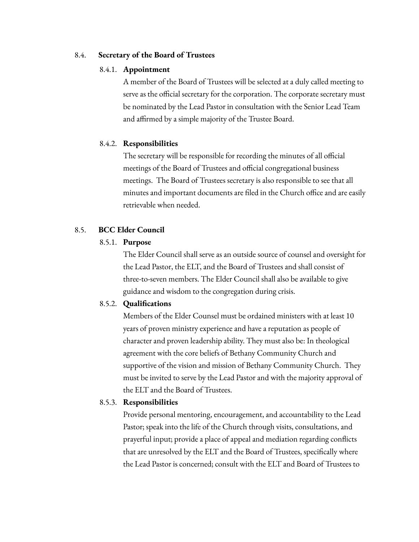# 8.4. **Secretary of the Board of Trustees**

### 8.4.1. **Appointment**

A member of the Board of Trustees will be selected at a duly called meeting to serve as the official secretary for the corporation. The corporate secretary must be nominated by the Lead Pastor in consultation with the Senior Lead Team and affirmed by a simple majority of the Trustee Board.

# 8.4.2. **Responsibilities**

The secretary will be responsible for recording the minutes of all official meetings of the Board of Trustees and official congregational business meetings. The Board of Trustees secretary is also responsible to see that all minutes and important documents are filed in the Church office and are easily retrievable when needed.

# 8.5. **BCC Elder Council**

# 8.5.1. **Purpose**

The Elder Council shall serve as an outside source of counsel and oversight for the Lead Pastor, the ELT, and the Board of Trustees and shall consist of three-to-seven members. The Elder Council shall also be available to give guidance and wisdom to the congregation during crisis.

# 8.5.2. **Qualifications**

Members of the Elder Counsel must be ordained ministers with at least 10 years of proven ministry experience and have a reputation as people of character and proven leadership ability. They must also be: In theological agreement with the core beliefs of Bethany Community Church and supportive of the vision and mission of Bethany Community Church. They must be invited to serve by the Lead Pastor and with the majority approval of the ELT and the Board of Trustees.

# 8.5.3. **Responsibilities**

Provide personal mentoring, encouragement, and accountability to the Lead Pastor; speak into the life of the Church through visits, consultations, and prayerful input; provide a place of appeal and mediation regarding conflicts that are unresolved by the ELT and the Board of Trustees, specifically where the Lead Pastor is concerned; consult with the ELT and Board of Trustees to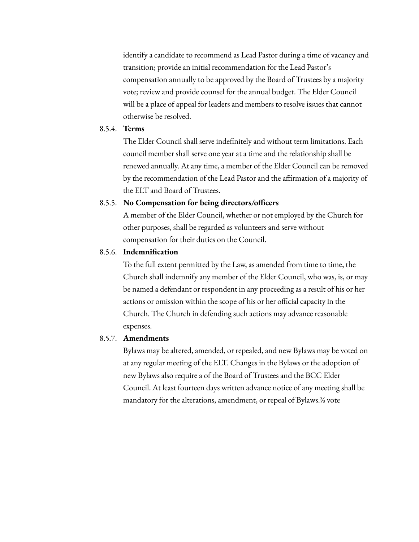identify a candidate to recommend as Lead Pastor during a time of vacancy and transition; provide an initial recommendation for the Lead Pastor's compensation annually to be approved by the Board of Trustees by a majority vote; review and provide counsel for the annual budget. The Elder Council will be a place of appeal for leaders and members to resolve issues that cannot otherwise be resolved.

### 8.5.4. **Terms**

The Elder Council shall serve indefinitely and without term limitations. Each council member shall serve one year at a time and the relationship shall be renewed annually. At any time, a member of the Elder Council can be removed by the recommendation of the Lead Pastor and the affirmation of a majority of the ELT and Board of Trustees.

### 8.5.5. **No Compensation for being directors/officers**

A member of the Elder Council, whether or not employed by the Church for other purposes, shall be regarded as volunteers and serve without compensation for their duties on the Council.

### 8.5.6. **Indemnification**

To the full extent permitted by the Law, as amended from time to time, the Church shall indemnify any member of the Elder Council, who was, is, or may be named a defendant or respondent in any proceeding as a result of his or her actions or omission within the scope of his or her official capacity in the Church. The Church in defending such actions may advance reasonable expenses.

### 8.5.7. **Amendments**

Bylaws may be altered, amended, or repealed, and new Bylaws may be voted on at any regular meeting of the ELT. Changes in the Bylaws or the adoption of new Bylaws also require a of the Board of Trustees and the BCC Elder Council. At least fourteen days written advance notice of any meeting shall be mandatory for the alterations, amendment, or repeal of Bylaws.⅔ vote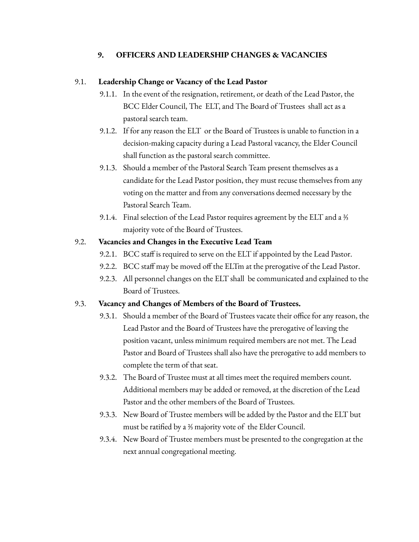# **9. OFFICERS AND LEADERSHIP CHANGES & VACANCIES**

# 9.1. **Leadership Change or Vacancy of the Lead Pastor**

- 9.1.1. In the event of the resignation, retirement, or death of the Lead Pastor, the BCC Elder Council, The ELT, and The Board of Trustees shall act as a pastoral search team.
- 9.1.2. If for any reason the ELT or the Board of Trustees is unable to function in a decision-making capacity during a Lead Pastoral vacancy, the Elder Council shall function as the pastoral search committee.
- 9.1.3. Should a member of the Pastoral Search Team present themselves as a candidate for the Lead Pastor position, they must recuse themselves from any voting on the matter and from any conversations deemed necessary by the Pastoral Search Team.
- 9.1.4. Final selection of the Lead Pastor requires agreement by the ELT and a ⅔ majority vote of the Board of Trustees.

# 9.2. **Vacancies and Changes in the Executive Lead Team**

- 9.2.1. BCC staff is required to serve on the ELT if appointed by the Lead Pastor.
- 9.2.2. BCC staff may be moved off the ELTm at the prerogative of the Lead Pastor.
- 9.2.3. All personnel changes on the ELT shall be communicated and explained to the Board of Trustees.

# 9.3. **Vacancy and Changes of Members of the Board of Trustees.**

- 9.3.1. Should a member of the Board of Trustees vacate their office for any reason, the Lead Pastor and the Board of Trustees have the prerogative of leaving the position vacant, unless minimum required members are not met. The Lead Pastor and Board of Trustees shall also have the prerogative to add members to complete the term of that seat.
- 9.3.2. The Board of Trustee must at all times meet the required members count. Additional members may be added or removed, at the discretion of the Lead Pastor and the other members of the Board of Trustees.
- 9.3.3. New Board of Trustee members will be added by the Pastor and the ELT but must be ratified by a ⅔ majority vote of the Elder Council.
- 9.3.4. New Board of Trustee members must be presented to the congregation at the next annual congregational meeting.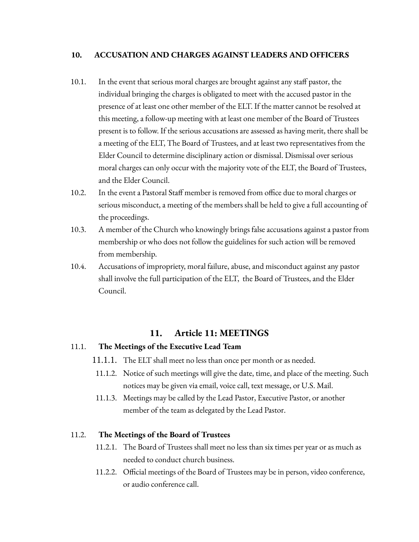# **10. ACCUSATION AND CHARGES AGAINST LEADERS AND OFFICERS**

- 10.1. In the event that serious moral charges are brought against any staff pastor, the individual bringing the charges is obligated to meet with the accused pastor in the presence of at least one other member of the ELT. If the matter cannot be resolved at this meeting, a follow-up meeting with at least one member of the Board of Trustees present is to follow. If the serious accusations are assessed as having merit, there shall be a meeting of the ELT, The Board of Trustees, and at least two representatives from the Elder Council to determine disciplinary action or dismissal. Dismissal over serious moral charges can only occur with the majority vote of the ELT, the Board of Trustees, and the Elder Council.
- 10.2. In the event a Pastoral Staff member is removed from office due to moral charges or serious misconduct, a meeting of the members shall be held to give a full accounting of the proceedings.
- 10.3. A member of the Church who knowingly brings false accusations against a pastor from membership or who does not follow the guidelines for such action will be removed from membership.
- 10.4. Accusations of impropriety, moral failure, abuse, and misconduct against any pastor shall involve the full participation of the ELT, the Board of Trustees, and the Elder Council.

# **11. Article 11: MEETINGS**

# 11.1. **The Meetings of the Executive Lead Team**

- 11.1.1. The ELT shall meet no less than once per month or as needed.
- 11.1.2. Notice of such meetings will give the date, time, and place of the meeting. Such notices may be given via email, voice call, text message, or U.S. Mail.
- 11.1.3. Meetings may be called by the Lead Pastor, Executive Pastor, or another member of the team as delegated by the Lead Pastor.

# 11.2. **The Meetings of the Board of Trustees**

- 11.2.1. The Board of Trustees shall meet no less than six times per year or as much as needed to conduct church business.
- 11.2.2. Official meetings of the Board of Trustees may be in person, video conference, or audio conference call.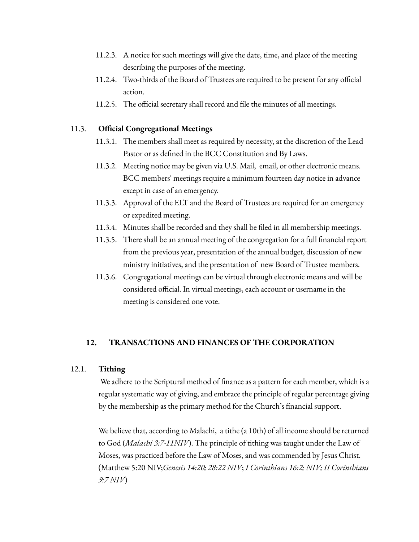- 11.2.3. A notice for such meetings will give the date, time, and place of the meeting describing the purposes of the meeting.
- 11.2.4. Two-thirds of the Board of Trustees are required to be present for any official action.
- 11.2.5. The official secretary shall record and file the minutes of all meetings.

# 11.3. **Official Congregational Meetings**

- 11.3.1. The members shall meet as required by necessity, at the discretion of the Lead Pastor or as defined in the BCC Constitution and By Laws.
- 11.3.2. Meeting notice may be given via U.S. Mail, email, or other electronic means. BCC members' meetings require a minimum fourteen day notice in advance except in case of an emergency.
- 11.3.3. Approval of the ELT and the Board of Trustees are required for an emergency or expedited meeting.
- 11.3.4. Minutes shall be recorded and they shall be filed in all membership meetings.
- 11.3.5. There shall be an annual meeting of the congregation for a full financial report from the previous year, presentation of the annual budget, discussion of new ministry initiatives, and the presentation of new Board of Trustee members.
- 11.3.6. Congregational meetings can be virtual through electronic means and will be considered official. In virtual meetings, each account or username in the meeting is considered one vote.

# **12. TRANSACTIONS AND FINANCES OF THE CORPORATION**

# 12.1. **Tithing**

We adhere to the Scriptural method of finance as a pattern for each member, which is a regular systematic way of giving, and embrace the principle of regular percentage giving by the membership as the primary method for the Church's financial support.

We believe that, according to Malachi, a tithe (a 10th) of all income should be returned to God (*Malachi 3:7-11NIV*). The principle of tithing was taught under the Law of Moses, was practiced before the Law of Moses, and was commended by Jesus Christ. (Matthew 5:20 NIV;*Genesis 14:20; 28:22 NIV*; *I Corinthians 16:2; NIV; II Corinthians 9:7 NIV*)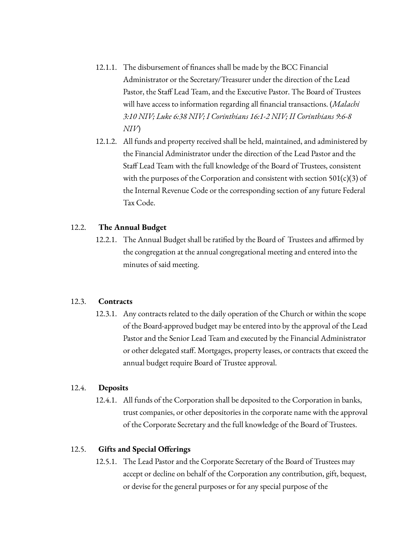- 12.1.1. The disbursement of finances shall be made by the BCC Financial Administrator or the Secretary/Treasurer under the direction of the Lead Pastor, the Staff Lead Team, and the Executive Pastor. The Board of Trustees will have access to information regarding all financial transactions. (*Malachi 3:10 NIV; Luke 6:38 NIV; I Corinthians 16:1-2 NIV; II Corinthians 9:6-8 NIV*)
- 12.1.2. All funds and property received shall be held, maintained, and administered by the Financial Administrator under the direction of the Lead Pastor and the Staff Lead Team with the full knowledge of the Board of Trustees, consistent with the purposes of the Corporation and consistent with section  $501(c)(3)$  of the Internal Revenue Code or the corresponding section of any future Federal Tax Code.

# 12.2. **The Annual Budget**

12.2.1. The Annual Budget shall be ratified by the Board of Trustees and affirmed by the congregation at the annual congregational meeting and entered into the minutes of said meeting.

#### 12.3. **Contracts**

12.3.1. Any contracts related to the daily operation of the Church or within the scope of the Board-approved budget may be entered into by the approval of the Lead Pastor and the Senior Lead Team and executed by the Financial Administrator or other delegated staff. Mortgages, property leases, or contracts that exceed the annual budget require Board of Trustee approval.

### 12.4. **Deposits**

12.4.1. All funds of the Corporation shall be deposited to the Corporation in banks, trust companies, or other depositories in the corporate name with the approval of the Corporate Secretary and the full knowledge of the Board of Trustees.

### 12.5. **Gifts and Special Offerings**

12.5.1. The Lead Pastor and the Corporate Secretary of the Board of Trustees may accept or decline on behalf of the Corporation any contribution, gift, bequest, or devise for the general purposes or for any special purpose of the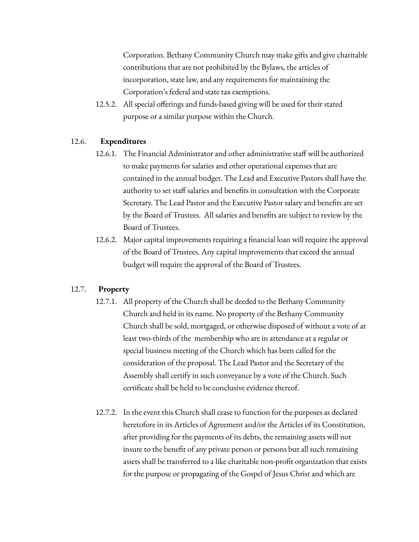Corporation. Bethany Community Church may make gifts and give charitable contributions that are not prohibited by the Bylaws, the articles of incorporation, state law, and any requirements for maintaining the Corporation's federal and state tax exemptions.

12.5.2. All special offerings and funds-based giving will be used for their stated purpose or a similar purpose within the Church.

# 12.6. **Expenditures**

- 12.6.1. The Financial Administrator and other administrative staff will be authorized to make payments for salaries and other operational expenses that are contained in the annual budget. The Lead and Executive Pastors shall have the authority to set staff salaries and benefits in consultation with the Corporate Secretary. The Lead Pastor and the Executive Pastor salary and benefits are set by the Board of Trustees. All salaries and benefits are subject to review by the Board of Trustees.
- 12.6.2. Major capital improvements requiring a financial loan will require the approval of the Board of Trustees. Any capital improvements that exceed the annual budget will require the approval of the Board of Trustees.

# 12.7. **Property**

- 12.7.1. All property of the Church shall be deeded to the Bethany Community Church and held in its name. No property of the Bethany Community Church shall be sold, mortgaged, or otherwise disposed of without a vote of at least two-thirds of the membership who are in attendance at a regular or special business meeting of the Church which has been called for the consideration of the proposal. The Lead Pastor and the Secretary of the Assembly shall certify in such conveyance by a vote of the Church. Such certificate shall be held to be conclusive evidence thereof.
- 12.7.2. In the event this Church shall cease to function for the purposes as declared heretofore in its Articles of Agreement and/or the Articles of its Constitution, after providing for the payments of its debts, the remaining assets will not insure to the benefit of any private person or persons but all such remaining assets shall be transferred to a like charitable non-profit organization that exists for the purpose or propagating of the Gospel of Jesus Christ and which are